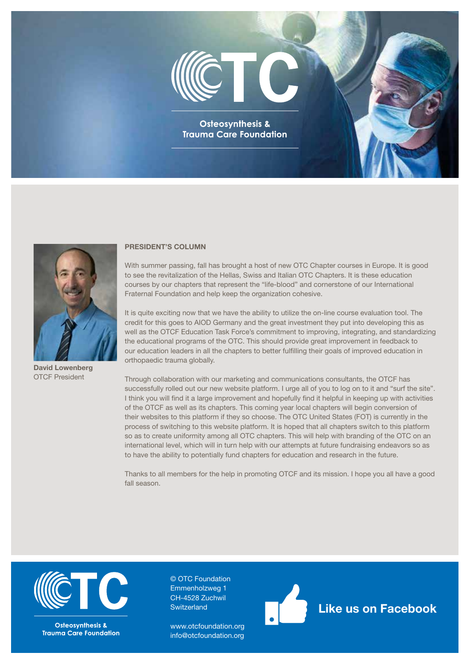



David Lowenberg OTCF President

#### PRESIDENT'S COLUMN

With summer passing, fall has brought a host of new OTC Chapter courses in Europe. It is good to see the revitalization of the Hellas, Swiss and Italian OTC Chapters. It is these education courses by our chapters that represent the "life-blood" and cornerstone of our International Fraternal Foundation and help keep the organization cohesive.

It is quite exciting now that we have the ability to utilize the on-line course evaluation tool. The credit for this goes to AIOD Germany and the great investment they put into developing this as well as the OTCF Education Task Force's commitment to improving, integrating, and standardizing the educational programs of the OTC. This should provide great improvement in feedback to our education leaders in all the chapters to better fulfilling their goals of improved education in orthopaedic trauma globally.

Through collaboration with our marketing and communications consultants, the OTCF has successfully rolled out our new website platform. I urge all of you to log on to it and "surf the site". I think you will find it a large improvement and hopefully find it helpful in keeping up with activities of the OTCF as well as its chapters. This coming year local chapters will begin conversion of their websites to this platform if they so choose. The OTC United States (FOT) is currently in the process of switching to this website platform. It is hoped that all chapters switch to this platform so as to create uniformity among all OTC chapters. This will help with branding of the OTC on an international level, which will in turn help with our attempts at future fundraising endeavors so as to have the ability to potentially fund chapters for education and research in the future.

Thanks to all members for the help in promoting OTCF and its mission. I hope you all have a good fall season.



**Osteosynthesis & Trauma Care Foundation** 

© OTC Foundation Emmenholzweg 1 CH-4528 Zuchwil **Switzerland** 

[www.otcfoundation.org](http://www.otcfoundation.org) [info@otcfoundation.org](mailto:info%40otcfoundation.org?subject=)



[Like us on Facebook](https://www.facebook.com/OTC-Foundation-1967448856610690/)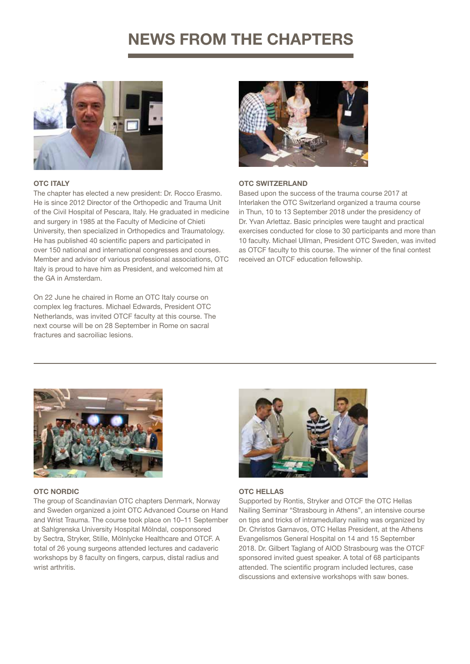# NEWS FROM THE CHAPTERS



#### **OTC ITALY**

The chapter has elected a new president: Dr. Rocco Erasmo. He is since 2012 Director of the Orthopedic and Trauma Unit of the Civil Hospital of Pescara, Italy. He graduated in medicine and surgery in 1985 at the Faculty of Medicine of Chieti University, then specialized in Orthopedics and Traumatology. He has published 40 scientific papers and participated in over 150 national and international congresses and courses. Member and advisor of various professional associations, OTC Italy is proud to have him as President, and welcomed him at the GA in Amsterdam.

On 22 June he chaired in Rome an OTC Italy course on complex leg fractures. Michael Edwards, President OTC Netherlands, was invited OTCF faculty at this course. The next course will be on 28 September in Rome on sacral fractures and sacroiliac lesions.



#### OTC SWITZERLAND

Based upon the success of the trauma course 2017 at Interlaken the OTC Switzerland organized a trauma course in Thun, 10 to 13 September 2018 under the presidency of Dr. Yvan Arlettaz. Basic principles were taught and practical exercises conducted for close to 30 participants and more than 10 faculty. Michael Ullman, President OTC Sweden, was invited as OTCF faculty to this course. The winner of the final contest received an OTCF education fellowship.



## OTC NORDIC

The group of Scandinavian OTC chapters Denmark, Norway and Sweden organized a joint OTC Advanced Course on Hand and Wrist Trauma. The course took place on 10–11 September at Sahlgrenska University Hospital Mölndal, cosponsored by Sectra, Stryker, Stille, Mölnlycke Healthcare and OTCF. A total of 26 young surgeons attended lectures and cadaveric workshops by 8 faculty on fingers, carpus, distal radius and wrist arthritis.



## OTC HELLAS

Supported by Rontis, Stryker and OTCF the OTC Hellas Nailing Seminar "Strasbourg in Athens", an intensive course on tips and tricks of intramedullary nailing was organized by Dr. Christos Garnavos, OTC Hellas President, at the Athens Evangelismos General Hospital on 14 and 15 September 2018. Dr. Gilbert Taglang of AIOD Strasbourg was the OTCF sponsored invited guest speaker. A total of 68 participants attended. The scientific program included lectures, case discussions and extensive workshops with saw bones.